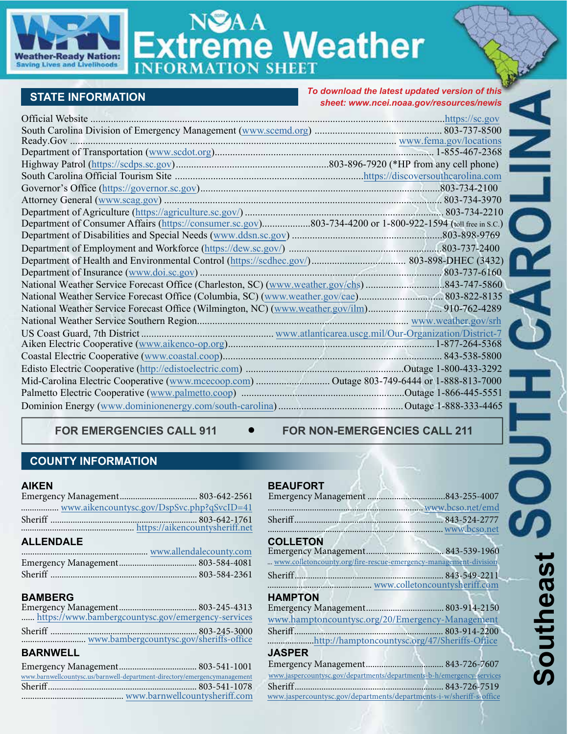

# **treme Weather**

# **STATE INFORMATION**

*To download the latest updated version of this sheet: www.ncei.noaa.gov/resources/newis*

| Department of Consumer Affairs (https://consumer.sc.gov)803-734-4200 or 1-800-922-1594 (toll free in S.C.) |  |
|------------------------------------------------------------------------------------------------------------|--|
|                                                                                                            |  |
|                                                                                                            |  |
|                                                                                                            |  |
|                                                                                                            |  |
|                                                                                                            |  |
|                                                                                                            |  |
|                                                                                                            |  |
|                                                                                                            |  |
|                                                                                                            |  |
|                                                                                                            |  |
|                                                                                                            |  |
|                                                                                                            |  |
|                                                                                                            |  |
|                                                                                                            |  |
|                                                                                                            |  |

FOR EMERGENCIES CALL 911  $\bullet$  FOR NON-EMERGENCIES CALL 211

# **COUNTY INFORMATION**

### **AIKEN**

| <b>ALLENDALE</b> |  |  |
|------------------|--|--|
|                  |  |  |
|                  |  |  |

# **BAMBERG**

|                 | https://www.bambergcountysc.gov/emergency-services |
|-----------------|----------------------------------------------------|
|                 |                                                    |
|                 |                                                    |
| <b>RARNWELL</b> |                                                    |

# **BARNWELL**

| www.barnwellcountysc.us/barnwell-department-directory/emergencymanagement |  |
|---------------------------------------------------------------------------|--|
|                                                                           |  |
|                                                                           |  |
|                                                                           |  |

# **BEAUFORT**

| <b>COLLETON</b>                                                       |  |
|-----------------------------------------------------------------------|--|
|                                                                       |  |
| www.colletoncounty.org/fire-rescue-emergency-management-division      |  |
|                                                                       |  |
|                                                                       |  |
| <b>HAMPTON</b>                                                        |  |
|                                                                       |  |
| www.hamptoncountysc.org/20/Emergency-Management                       |  |
| $Sheriff$ .                                                           |  |
| http://hamptoncountysc.org/47/Sheriffs-Office                         |  |
| <b>JASPER</b>                                                         |  |
|                                                                       |  |
| www.jaspercountysc.gov/departments/departments-b-h/emergency-services |  |
| Sheriff.                                                              |  |
| www.jaspercountysc.gov/departments/departments-i-w/sheriff-s-office   |  |